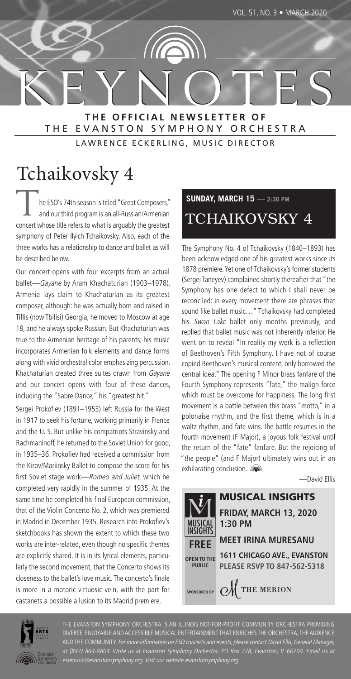

# THE EVANSTON SYMPHONY ORCHESTRA

LAWRENCE ECKERLING, MUSIC DIRECTOR

# Tchaikovsky 4

The ESO's 74th season is titled "Great Composers,"<br>and our third program is an all-Russian/Armenian concert whose title refers to what is arguably the greatest symphony of Peter Ilyich Tchaikovsky. Also, each of the three works has a relationship to dance and ballet as will be described below.

Our concert opens with four excerpts from an actual ballet—Gayane by Aram Khachaturian (1903–1978). Armenia lays claim to Khachaturian as its greatest composer, although: he was actually born and raised in Tiflis (now Tbilisi) Georgia, he moved to Moscow at age 18, and he always spoke Russian. But Khachaturian was true to the Armenian heritage of his parents; his music incorporates Armenian folk elements and dance forms along with vivid orchestral color emphasizing percussion. Khachaturian created three suites drawn from Gayane and our concert opens with four of these dances, including the "Sabre Dance," his "greatest hit."

Sergei Prokofiev (1891–1953) left Russia for the West in 1917 to seek his fortune, working primarily in France and the U. S. But unlike his compatriots Stravinsky and Rachmaninoff, he returned to the Soviet Union for good, in 1935–36. Prokofiev had received a commission from the Kirov/Mariinsky Ballet to compose the score for his first Soviet stage work—Romeo and Juliet, which he completed very rapidly in the summer of 1935. At the same time he completed his final European commission, that of the Violin Concerto No. 2, which was premiered in Madrid in December 1935. Research into Prokofiev's sketchbooks has shown the extent to which these two works are inter-related, even though no specific themes are explicitly shared. It is in its lyrical elements, particularly the second movement, that the Concerto shows its closeness to the ballet's love music. The concerto's finale is more in a motoric virtuosic vein, with the part for castanets a possible allusion to its Madrid premiere.

## **SUNDAY, MARCH 15 — 2:30 PM** TCHAIKOVSKY 4

The Symphony No. 4 of Tchaikovsky (1840–1893) has been acknowledged one of his greatest works since its 1878 premiere. Yet one of Tchaikovsky's former students (Sergei Taneyev) complained shortly thereafter that "the Symphony has one defect to which I shall never be reconciled: in every movement there are phrases that sound like ballet music…" Tchaikovsky had completed his Swan Lake ballet only months previously, and replied that ballet music was not inherently inferior. He went on to reveal "In reality my work is a reflection of Beethoven's Fifth Symphony. I have not of course copied Beethoven's musical content, only borrowed the central idea." The opening F Minor brass fanfare of the Fourth Symphony represents "fate," the malign force which must be overcome for happiness. The long first movement is a battle between this brass "motto," in a polonaise rhythm, and the first theme, which is in a waltz rhythm, and fate wins. The battle resumes in the fourth movement (F Major), a joyous folk festival until the return of the "fate" fanfare. But the rejoicing of "the people" (and F Major) ultimately wins out in an exhilarating conclusion.

—David Ellis





THE EVANSTON SYMPHONY ORCHESTRA IS AN ILLINOIS NOT-FOR-PROFIT COMMUNITY ORCHESTRA PROVIDING DIVERSE, ENJOYABLE AND ACCESSIBLE MUSICAL ENTERTAINMENT THAT ENRICHES THE ORCHESTRA, THE AUDIENCE AND THE COMMUNITY. For more information on ESO concerts and events, please contact David Ellis, General Manager, at (847) 864-8804. Write us at Evanston Symphony Orchestra, PO Box 778, Evanston, IL 60204. Email us at esomusic@evanstonsymphony.org. Visit our website evanstonsymphony.org.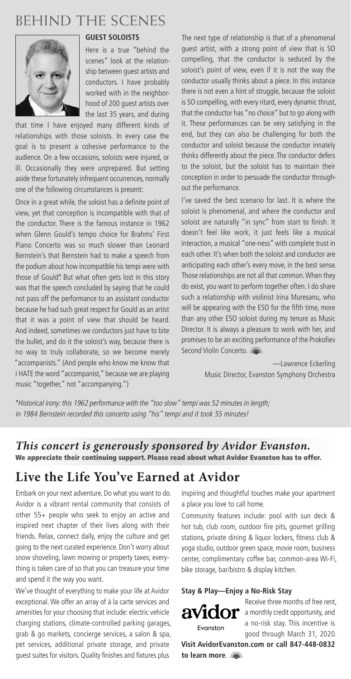## BEHIND THE SCENES



#### **GUEST SOLOISTS**

Here is a true "behind the scenes" look at the relationship between guest artists and conductors. I have probably worked with in the neighborhood of 200 guest artists over the last 35 years, and during

that time I have enjoyed many different kinds of relationships with those soloists. In every case the goal is to present a cohesive performance to the audience. On a few occasions, soloists were injured, or ill. Occasionally they were unprepared. But setting aside these fortunately infrequent occurrences, normally one of the following circumstances is present:

Once in a great while, the soloist has a definite point of view, yet that conception is incompatible with that of the conductor. There is the famous instance in 1962 when Glenn Gould's tempo choice for Brahms' First Piano Concerto was so much slower than Leonard Bernstein's that Bernstein had to make a speech from the podium about how incompatible his tempi were with those of Gould\*. But what often gets lost in this story was that the speech concluded by saying that he could not pass off the performance to an assistant conductor because he had such great respect for Gould as an artist that it was a point of view that should be heard. And indeed, sometimes we conductors just have to bite the bullet, and do it the soloist's way, because there is no way to truly collaborate, so we become merely "accompanists." (And people who know me know that I HATE the word "accompanist," because we are playing music "together," not "accompanying.")

The next type of relationship is that of a phenomenal guest artist, with a strong point of view that is SO compelling, that the conductor is seduced by the soloist's point of view, even if it is not the way the conductor usually thinks about a piece. In this instance there is not even a hint of struggle, because the soloist is SO compelling, with every ritard, every dynamic thrust, that the conductor has "no choice" but to go along with it. These performances can be very satisfying in the end, but they can also be challenging for both the conductor and soloist because the conductor innately thinks differently about the piece. The conductor defers to the soloist, but the soloist has to maintain their conception in order to persuade the conductor throughout the performance.

I've saved the best scenario for last. It is where the soloist is phenomenal, and where the conductor and soloist are naturally "in sync" from start to finish. It doesn't feel like work, it just feels like a musical interaction, a musical "one-ness" with complete trust in each other. It's when both the soloist and conductor are anticipating each other's every move, in the best sense. Those relationships are not all that common. When they do exist, you want to perform together often. I do share such a relationship with violinist Irina Muresanu, who will be appearing with the ESO for the fifth time, more than any other ESO soloist during my tenure as Music Director. It is always a pleasure to work with her, and promises to be an exciting performance of the Prokofiev Second Violin Concerto.

> —Lawrence Eckerling Music Director, Evanston Symphony Orchestra

\*Historical irony: this 1962 performance with the "too slow" tempi was 52 minutes in length; in 1984 Bernstein recorded this concerto using "his" tempi and it took 55 minutes!

#### *This concert is generously sponsored by Avidor Evanston.* **We appreciate their continuing support. Please read about what Avidor Evanston has to offer.**

### **Live the Life You've Earned at Avidor**

Embark on your next adventure. Do what you want to do. Avidor is a vibrant rental community that consists of other 55+ people who seek to enjoy an active and inspired next chapter of their lives along with their friends. Relax, connect daily, enjoy the culture and get going to the next curated experience. Don't worry about snow shoveling, lawn mowing or property taxes; everything is taken care of so that you can treasure your time and spend it the way you want.

We've thought of everything to make your life at Avidor exceptional. We offer an array of à la carte services and amenities for your choosing that include: electric vehicle charging stations, climate-controlled parking garages, grab & go markets, concierge services, a salon & spa, pet services, additional private storage, and private guest suites for visitors. Quality finishes and fixtures plus

inspiring and thoughtful touches make your apartment a place you love to call home.

Community features include: pool with sun deck & hot tub, club room, outdoor fire pits, gourmet grilling stations, private dining & liquor lockers, fitness club & yoga studio, outdoor green space, movie room, business center, complimentary coffee bar, common-area Wi-Fi, bike storage, bar/bistro & display kitchen.

#### **Stay & Play—Enjoy a No-Risk Stay**



Receive three months of free rent,  $\partial\Omega$  a monthly credit opportunity, and a no-risk stay. This incentive is good through March 31, 2020.

**Visit AvidorEvanston.com or call 847-448-0832 to learn more**.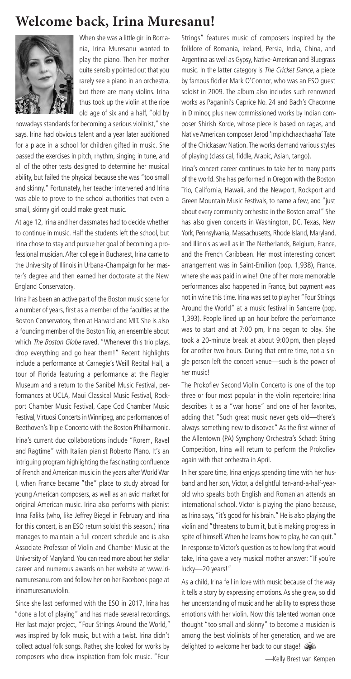### **Welcome back, Irina Muresanu!**



When she was a little girl in Romania, Irina Muresanu wanted to play the piano. Then her mother quite sensibly pointed out that you rarely see a piano in an orchestra, but there are many violins. Irina thus took up the violin at the ripe old age of six and a half, "old by

nowadays standards for becoming a serious violinist," she says. Irina had obvious talent and a year later auditioned for a place in a school for children gifted in music. She passed the exercises in pitch, rhythm, singing in tune, and all of the other tests designed to determine her musical ability, but failed the physical because she was "too small and skinny." Fortunately, her teacher intervened and Irina was able to prove to the school authorities that even a small, skinny girl could make great music.

At age 12, Irina and her classmates had to decide whether to continue in music. Half the students left the school, but Irina chose to stay and pursue her goal of becoming a professional musician. After college in Bucharest, Irina came to the University of Illinois in Urbana-Champaign for her master's degree and then earned her doctorate at the New England Conservatory.

Irina has been an active part of the Boston music scene for a number of years, first as a member of the faculties at the Boston Conservatory, then at Harvard and MIT. She is also a founding member of the Boston Trio, an ensemble about which The Boston Globe raved, "Whenever this trio plays, drop everything and go hear them!" Recent highlights include a performance at Carnegie's Weill Recital Hall, a tour of Florida featuring a performance at the Flagler Museum and a return to the Sanibel Music Festival, performances at UCLA, Maui Classical Music Festival, Rockport Chamber Music Festival, Cape Cod Chamber Music Festival, Virtuosi Concerts in Winnipeg, and performances of Beethoven's Triple Concerto with the Boston Philharmonic. Irina's current duo collaborations include "Rorem, Ravel and Ragtime" with Italian pianist Roberto Plano. It's an intriguing program highlighting the fascinating confluence of French and American music in the years after World War I, when France became "the" place to study abroad for young American composers, as well as an avid market for original American music. Irina also performs with pianist Inna Faliks (who, like Jeffrey Biegel in February and Irina for this concert, is an ESO return soloist this season.) Irina manages to maintain a full concert schedule and is also Associate Professor of Violin and Chamber Music at the University of Maryland. You can read more about her stellar career and numerous awards on her website at www.irinamuresanu.com and follow her on her Facebook page at irinamuresanuviolin.

Since she last performed with the ESO in 2017, Irina has "done a lot of playing" and has made several recordings. Her last major project, "Four Strings Around the World," was inspired by folk music, but with a twist. Irina didn't collect actual folk songs. Rather, she looked for works by composers who drew inspiration from folk music. "Four

Strings" features music of composers inspired by the folklore of Romania, Ireland, Persia, India, China, and Argentina as well as Gypsy, Native-American and Bluegrass music. In the latter category is The Cricket Dance, a piece by famous fiddler Mark O'Connor, who was an ESO guest soloist in 2009. The album also includes such renowned works as Paganini's Caprice No. 24 and Bach's Chaconne in D minor, plus new commissioned works by Indian composer Shirish Korde, whose piece is based on ragas, and Native American composer Jerod 'Impichchaachaaha' Tate of the Chickasaw Nation. The works demand various styles of playing (classical, fiddle, Arabic, Asian, tango).

Irina's concert career continues to take her to many parts of the world. She has performed in Oregon with the Boston Trio, California, Hawaii, and the Newport, Rockport and Green Mountain Music Festivals, to name a few, and "just about every community orchestra in the Boston area!" She has also given concerts in Washington, DC, Texas, New York, Pennsylvania, Massachusetts, Rhode Island, Maryland, and Illinois as well as in The Netherlands, Belgium, France, and the French Caribbean. Her most interesting concert arrangement was in Saint-Emilion (pop. 1,938), France, where she was paid in wine! One of her more memorable performances also happened in France, but payment was not in wine this time. Irina was set to play her "Four Strings Around the World" at a music festival in Sancerre (pop. 1,393). People lined up an hour before the performance was to start and at 7:00 pm, Irina began to play. She took a 20-minute break at about 9:00 pm, then played for another two hours. During that entire time, not a single person left the concert venue—such is the power of her music!

The Prokofiev Second Violin Concerto is one of the top three or four most popular in the violin repertoire; Irina describes it as a "war horse" and one of her favorites, adding that "Such great music never gets old—there's always something new to discover." As the first winner of the Allentown (PA) Symphony Orchestra's Schadt String Competition, Irina will return to perform the Prokofiev again with that orchestra in April.

In her spare time, Irina enjoys spending time with her husband and her son, Victor, a delightful ten-and-a-half-yearold who speaks both English and Romanian attends an international school. Victor is playing the piano because, as Irina says, "it's good for his brain." He is also playing the violin and "threatens to burn it, but is making progress in spite of himself. When he learns how to play, he can quit." In response to Victor's question as to how long that would take, Irina gave a very musical mother answer: "If you're lucky—20 years!"

As a child, Irina fell in love with music because of the way it tells a story by expressing emotions. As she grew, so did her understanding of music and her ability to express those emotions with her violin. Now this talented woman once thought "too small and skinny" to become a musician is among the best violinists of her generation, and we are delighted to welcome her back to our stage!

—Kelly Brest van Kempen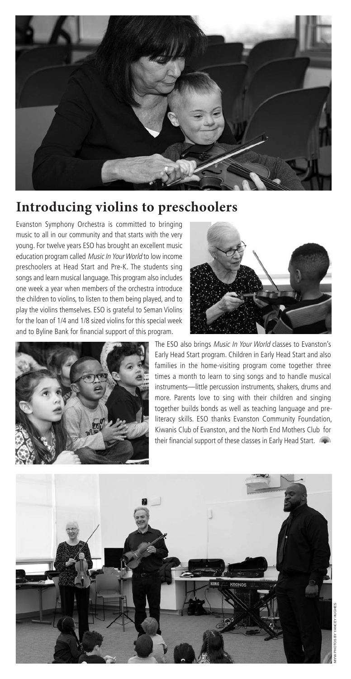

### **Introducing violins to preschoolers**

Evanston Symphony Orchestra is committed to bringing music to all in our community and that starts with the very young. For twelve years ESO has brought an excellent music education program called Music In Your World to low income preschoolers at Head Start and Pre-K. The students sing songs and learn musical language. This program also includes one week a year when members of the orchestra introduce the children to violins, to listen to them being played, and to play the violins themselves. ESO is grateful to Seman Violins for the loan of 1/4 and 1/8 sized violins for this special week and to Byline Bank for financial support of this program.





The ESO also brings Music In Your World classes to Evanston's Early Head Start program. Children in Early Head Start and also families in the home-visiting program come together three times a month to learn to sing songs and to handle musical instruments—little percussion instruments, shakers, drums and more. Parents love to sing with their children and singing together builds bonds as well as teaching language and pre literacy skills. ESO thanks Evanston Community Foundation, Kiwanis Club of Evanston, and the North End Mothers Club for their financial support of these classes in Early Head Start. (